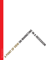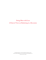# Doing More with Less A Point of View on Marketing in a Recession

For further information, or to discuss how Ogilvy can help, please contact Bill Gray (Bill.Gray@Ogilvy.com) or Carla Hendra (Carla.Hendra@Ogilvy.com). *© Ogilvy North America 2008*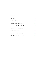#### **CONTENTS**

| Introduction                                  | 2 |
|-----------------------------------------------|---|
| <b>Guard High-Value Customers</b>             | 2 |
| Harvest Customers Who Are Ready to Buy        | 3 |
| Optimize Budget Allocation and Channel Choice | 4 |
| Cut Strategically within a Brand Portfolio    | 5 |
| <b>Use Price Promotions Sparingly</b>         | 5 |
| <b>Consider Reassurance or Value Messages</b> | 6 |
| If Feasible, Consider an Increase in Spend    | 6 |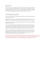### INTRODUCTION

We face one of the most challenging business environments in years. Marketers will be asked what actions they intend to take. This document has seven points of advice based on Ogilvy's experience in guiding brands through previous recessions, mixed with some of the latest academic thinking. It is intended as a starting point for a discussion that we would like to have with you.

## 1. GUARD HIGH-VALUE CUSTOMERS

In a severe recession, share protection through retention of a brand's most profitable customers should be the first priority.

Losing loyal customers can be very costly. According to the Ogilvy Loyalty Index, on average, loyal customers who are "bonded" to a brand spend up to 20 times more than the average customer.

The key is to identify who they are and what their concerns are. Then you can consider whether a special initiative is needed.

At the outset of the 2007 season, Six Flags launched a regional customer marketing program across all parks. Six Flags geographically segmented their best customers and, by email, began to nurture them with special offers, news and more. By the end of the season, those customers who were nurtured in this way were worth 35% more than those customers who were not.

Members of the Starwood Preferred Guest® program wanted to choose their own rewards from the points earned as loyal customers. Starwood listened and launched the *You Choose* promotion in fall 2008 through Lacek, Ogilvy's loyalty marketing agency. The company received over 35,000 registrations before the first promotional email was sent.

*Ogilvy can help by conducting a differential marketing analysis to identify a brand's most profitable customers. For packaged goods brands, this may mean determining key characteristics and targeting marketing dollars to them. For considered purchase brands, this may mean identifying individuals and marketing directly to them.*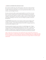### 2. HARVEST CUSTOMERS WHO ARE READY TO BUY

The second most valuable target, after existing customers, is those who are about to purchase. Research into the decision-making process can illuminate what barriers people have at *The Last Mile*™. With this knowledge, there are two areas in particular where marketers can focus attention: search and shopper activation.

We often say that the first dollar a marketer spends should be on search. This is never truer than in a recession. Customers who have raised their hands declaring interest in your product deserve special attention. Marketers can improve "organic" search by tracking existing search capabilities, understanding key words and then developing strategies for content development, page tagging and linking to ensure that as many active shoppers as possible are directed to the brand's site.

TD AMERITRADE optimized their search campaign to quickly respond to shifting market conditions. After the 778-point drop in the stock market on September 29, 2008, they were able to capitalize on increased demand thanks to their effective campaign strategy. Their search-lead volume multiplied as a result.

The physical equivalent of search is in-store activation. A new global shopper study – *Shopper Decisions Made In-Store* (SDMIS) published by Ogilvy*Action* in June 2008 – revealed that 72% of shoppers make at least one of the four following decisions in the store: choosing a brand, deciding on an impulse purchase, abandoning a planned purchase or deciding how much to buy. The same research also found that visibility drove more purchase decisions than price promotion.

*Ogilvy can help with search optimization. Intent mapping looks at the most frequently searched items to determine what people are actually looking for. This can be accomplished with text, tools or widgets that include these terms in title pages, meta tags and website links. Ogilvy*Action*'s CheckPoint Planning can identify opportunities to convert shoppers into buyers by understanding the intersection between shopper behavior, the retailer's agenda and the brand.*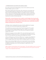#### 3. OPTIMIZE BUDGET ALLOCATION AND CHANNEL CHOICE

Every marketer will scrutinize the budget during a recession. Is the overall level correct? Is the allocation of dollars as precise as it can be?

Many marketers think first about channel choice. We've found, however, that it helps to first examine the budget breakdown by marketing task. This is usually structured around a sales funnel, or what we call vertical allocation. What are you spending on awareness, consideration, activation, loyalty and so on? Examining budgets in this way gives a channel-neutral view. Then we review channel choice at each level of the funnel. There are often opportunities to alter the channel mix in a recession. As Carlos Grande notes:

Historically, recession businesses have tended to switch budgets from brand media advertising into direct marketing and other channels seen as more measurable…digital, which is already the fastest growing part of the media sector, could further benefit if budget-switching between channels occurs.<sup>1</sup>

A 360 degree solution is still usually the best option in hard times. Multichannel campaigns have a better success rate (65%) than single-channel campaigns (58%).

This is definitely *not* an argument against using TV. Far from being dead, TV is one of the most efficient and effective media: campaigns using TV have a higher success rate (66%) than campaigns not using TV (49%). It is more often than not an argument for using TV alongside other channels.

Multichannel campaigns are also more *efficient*. The average market share gain for every 10 percentage points of surplus share of voice is 1.1 percentage points with traditional advertising alone, but 2.6 percentage points with traditional advertising plus other channels.

As Binet and Field point out in "The Pursuit of Effectiveness,"<sup>2</sup> campaigns using multiple direct channels are more *effective*. Effectiveness rises with the number of direct channels used, from 55% for campaigns using one direct channel to 80% for campaigns using four or more channels.

However, don't spread your budget too thin across too many channels. You may end up doing nothing much in any of them. The crucial metric in every channel is always share of voice relative to competitors. Depending on the size of the brand budget, you might find three or four channels optimum.

*Ogilvy can help by examining allocation with its "funnel optimizer." This model establishes response curves for each level. Secondly, we examine channel choice at each level of the funnel and measure these against norms from the "compose" survey to help inform channel choices.*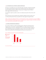#### 4. CUT STRATEGICALLY WITHIN A BRAND PORTFOLIO

If you have to cut spending, some cuts are better than others. Generally, you should cut the budget for smaller brands rather than for bigger brands. Small brands often take a disproportionate share of marketing spend because they are trying to grow, but bigger brands are likely to deliver bigger returns in the short term.

You should also exploit seasonality to make cuts in off-peak sales periods. The sales losses will be lower.

This is also the time to take a hard look at the contribution of different brands to profit as well as at their growth potential. Prune your product lines. Drop support for stagnant brands.

*Ogilvy can help with a portfolio audit. We can work with marketers to make a comprehensive assessment of different brands and sub-brands, including responsiveness to marketing and a competitive analysis. We will then recommend where to spend limited marketing dollars within a portfolio.* 

#### 5. USE PRICE PROMOTIONS SPARINGLY

In a recession, marketers are under tremendous pressure to offer price promotions (such as temporary price cuts, premiums, couponing, BOGOFs, etc.). These are the easiest part of a marketing program to measure, and therefore the easiest to justify when budgets are tight, but they can truly damage long-term profitability (see Figure 1). You need to work out the *right balance* between promotion and stimulating primary demand in your particular case.





*(Base: 314 companies in PIMS database)*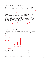#### 6. CONSIDER REASSURANCE OR VALUE MESSAGES

Your brand may be so sensitive to recession that a different, short-term message is called for. Many brands are already following this course. Stuart Elliott noted in *The New York Times* that:

In advertising, many financial institutions are racing to reassure consumers with soothing messages – that focus on important "S" words: strength, safety, stability, security.4

Reassurance messages don't need to be purely rational, of course. Indeed, there is growing evidence that emotionally based messages are more persuasive than rational ones.

Kraft has enjoyed success with tactical value messages for several of its brands this year. For Kool-Aid, Ogilvy has developed TV, radio and in-store messages that point out that "for the price of one bottle of soda, you can mix up five big pitchers of Kool-Aid, and for pennies a glass, keep the whole family refreshed and smiling."

*Ogilvy can help with rapid response polling. Recently, we worked with several clients to determine which messages resonate best for them during turbulent times – with a technique borrowed from the world of politics. Rapid response polling has two advantages. It is fast, so that marketers can respond to events quickly. And it is particularly suited*  to isolating the best articulation of a message. (Thus the "inheritance tax" is perceived very differently from the *"death tax," for example.)*

#### 7. IF FEASIBLE, CONSIDER AN *INCREASE* IN SPEND

A recession can, of course, be an opportunity. Those fortunate companies that are able to increase marketing spend in recessions increase their market share in both consumer and B2B markets. This result is seen in analyses of all recession winners dating back to the 1920s.



*Figure 2: Market share gains in recession5*

Higher relative share of voice also creates *faster* growth. On average, every 10 percentage points of "surplus" share of voice ("surplus" means share of voice minus share of market) generate around 2.2 points of market share. The lesson is that when you have an effective campaign, you should spend every last cent you can scrape up on it.

<sup>4</sup> Stuart Elliott, "Ads That Soothe When Banks are Failing," *The New York Times*, October 7, 2008.

<sup>5</sup> Cahners/SPI, "Media Advertising When Your Market is in a Recession," 1982; cited in Bernard Ryan, *Advertising in a Recession*, WARC 1991.

<sup>©2008</sup> Copyright and database rights owned by WARC.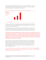Companies that increase marketing spend in recessions recover *three times faster* in "normal" times. Similarly, B2B companies that maintain/increase spend in a recession achieve higher growth both during the recession and *for three years thereafter*.



*Figure 3: Market share change in first two years of recovery from increased marketing spend in a recession6*

A recession can also be seen as an opportunity to put weaker competitors out of the market. If they can't match your level of marketing spend, their market share will decline and, with it, their capacity to compete when growth returns.

Advertising usually continues to have an effect on sales for about three years, so there may not be an immediate sales decline when competitive brands cut spend. However, a decline in the strength of consumers' relationships with the brand can be seen in research after six months.

Crucially, further data demonstrates that two key constituent brand relationship metrics – brand usage and brand image – suffered considerably (13% and 6% declines, respectively) when brands "went dark" (i.e., ceased to spend on communications) for a period of six months or more. More broadly, 60% of brands "going dark" see decline in at least one key relationship metric after just six months.<sup>7</sup>

In the 1974–1975 recession, Ford cut spending by 14%. Chevrolet, however, dropped its traditional method of setting the budget as a percentage of last year's sales and increased its spending, particularly for its fuel-saving economy models. Chevrolet's market share rose by two percentage points, while Ford lost share and took years to regain its previous position. However, Ford had learned. In the next downturn, Ford increased spending every year and saw considerable share gains.<sup>8</sup>

*Ogilvy can help with investment case planning. Recently, we have helped several CMOs work through different spending scenarios with CFOs and other approvers. By building an econometric model, we can help marketers understand the effects of budget cuts or increases.*

° Tony Hillier, "Successful Competitive Strategies for Recession and Recovery," *Market Leader*, Spring 1999. ©2008 Copyright and database rights owned by WARC.<br>' Peter Field, "Marketing in a Downtum," *Market Leader,* Au rights owned by WARC.